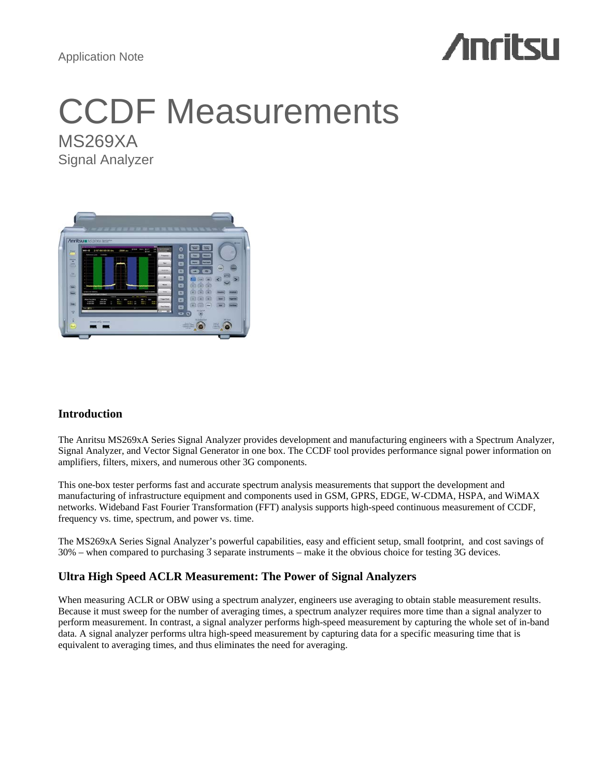Application Note

# **Anritsu**

# CCDF Measurements MS269XA

Signal Analyzer



# **Introduction**

The Anritsu MS269xA Series Signal Analyzer provides development and manufacturing engineers with a Spectrum Analyzer, Signal Analyzer, and Vector Signal Generator in one box. The CCDF tool provides performance signal power information on amplifiers, filters, mixers, and numerous other 3G components.

This one-box tester performs fast and accurate spectrum analysis measurements that support the development and manufacturing of infrastructure equipment and components used in GSM, GPRS, EDGE, W-CDMA, HSPA, and WiMAX networks. Wideband Fast Fourier Transformation (FFT) analysis supports high-speed continuous measurement of CCDF, frequency vs. time, spectrum, and power vs. time.

The MS269xA Series Signal Analyzer's powerful capabilities, easy and efficient setup, small footprint, and cost savings of 30% – when compared to purchasing 3 separate instruments – make it the obvious choice for testing 3G devices.

# **Ultra High Speed ACLR Measurement: The Power of Signal Analyzers**

When measuring ACLR or OBW using a spectrum analyzer, engineers use averaging to obtain stable measurement results. Because it must sweep for the number of averaging times, a spectrum analyzer requires more time than a signal analyzer to perform measurement. In contrast, a signal analyzer performs high-speed measurement by capturing the whole set of in-band data. A signal analyzer performs ultra high-speed measurement by capturing data for a specific measuring time that is equivalent to averaging times, and thus eliminates the need for averaging.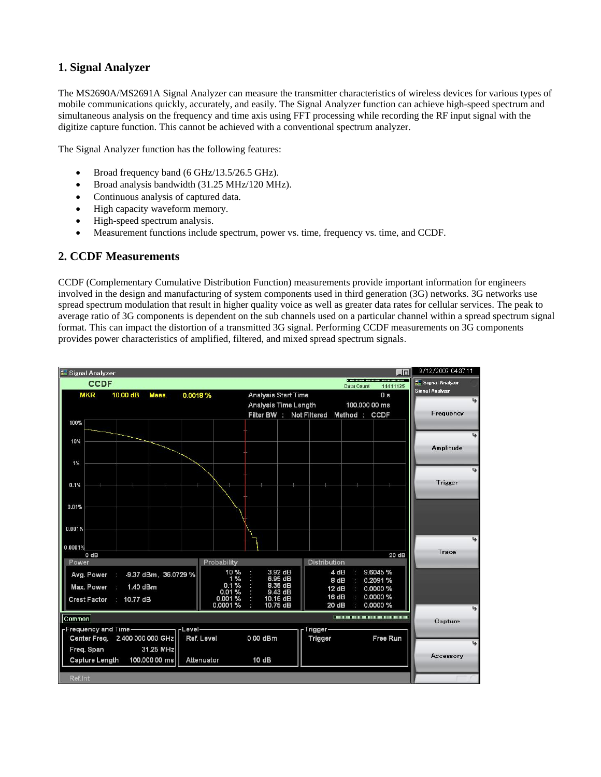# **1. Signal Analyzer**

The MS2690A/MS2691A Signal Analyzer can measure the transmitter characteristics of wireless devices for various types of mobile communications quickly, accurately, and easily. The Signal Analyzer function can achieve high-speed spectrum and simultaneous analysis on the frequency and time axis using FFT processing while recording the RF input signal with the digitize capture function. This cannot be achieved with a conventional spectrum analyzer.

The Signal Analyzer function has the following features:

- Broad frequency band (6 GHz/13.5/26.5 GHz).
- Broad analysis bandwidth (31.25 MHz/120 MHz).
- Continuous analysis of captured data.
- High capacity waveform memory.
- High-speed spectrum analysis.
- Measurement functions include spectrum, power vs. time, frequency vs. time, and CCDF.

### **2. CCDF Measurements**

CCDF (Complementary Cumulative Distribution Function) measurements provide important information for engineers involved in the design and manufacturing of system components used in third generation (3G) networks. 3G networks use spread spectrum modulation that result in higher quality voice as well as greater data rates for cellular services. The peak to average ratio of 3G components is dependent on the sub channels used on a particular channel within a spread spectrum signal format. This can impact the distortion of a transmitted 3G signal. Performing CCDF measurements on 3G components provides power characteristics of amplified, filtered, and mixed spread spectrum signals.

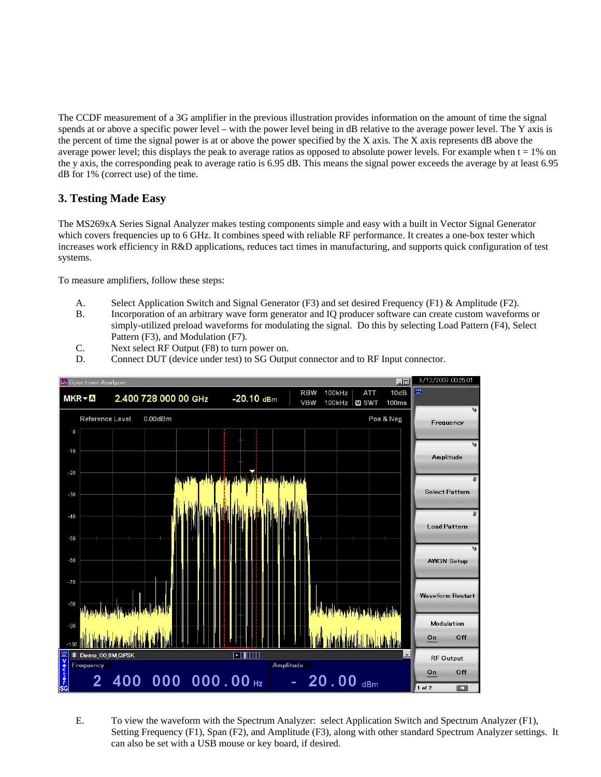The CCDF measurement of a 3G amplifier in the previous illustration provides information on the amount of time the signal spends at or above a specific power level – with the power level being in dB relative to the average power level. The Y axis is the percent of time the signal power is at or above the power specified by the  $X$  axis. The  $X$  axis represents dB above the average power level; this displays the peak to average ratios as opposed to absolute power levels. For example when  $t = 1\%$  on the y axis, the corresponding peak to average ratio is 6.95 dB. This means the signal power exceeds the average by at least 6.95 dB for 1% (correct use) of the time.

## **3. Testing Made Easy**

The MS269xA Series Signal Analyzer makes testing components simple and easy with a built in Vector Signal Generator which covers frequencies up to 6 GHz. It combines speed with reliable RF performance. It creates a one-box tester which increases work efficiency in R&D applications, reduces tact times in manufacturing, and supports quick configuration of test systems.

To measure amplifiers, follow these steps:

- A. Select Application Switch and Signal Generator (F3) and set desired Frequency (F1) & Amplitude (F2).
- B. Incorporation of an arbitrary wave form generator and IQ producer software can create custom waveforms or simply-utilized preload waveforms for modulating the signal. Do this by selecting Load Pattern (F4), Select Pattern (F3), and Modulation (F7).
- C. Next select RF Output (F8) to turn power on.
- D. Connect DUT (device under test) to SG Output connector and to RF Input connector.



E. To view the waveform with the Spectrum Analyzer: select Application Switch and Spectrum Analyzer (F1), Setting Frequency (F1), Span (F2), and Amplitude (F3), along with other standard Spectrum Analyzer settings. It can also be set with a USB mouse or key board, if desired.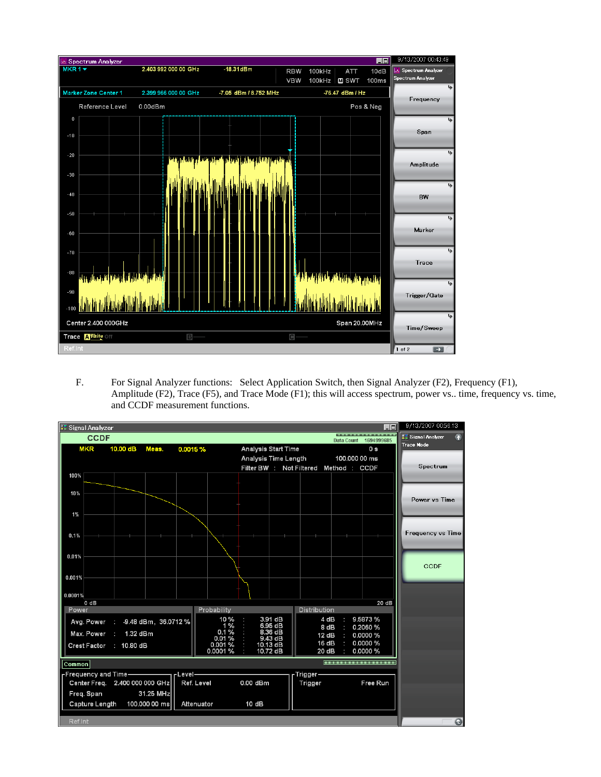

F. For Signal Analyzer functions: Select Application Switch, then Signal Analyzer (F2), Frequency (F1), Amplitude (F2), Trace (F5), and Trace Mode (F1); this will access spectrum, power vs.. time, frequency vs. time, and CCDF measurement functions.

| <b>R</b> Signal Analyzer<br>10                                            |                                            |                         |  |  |                 |                            |                     |  |               |                                        |  | 9/13/2007 00:56:13        |
|---------------------------------------------------------------------------|--------------------------------------------|-------------------------|--|--|-----------------|----------------------------|---------------------|--|---------------|----------------------------------------|--|---------------------------|
| 000000000000000000000000000000<br><b>CCDF</b><br>1694999685<br>Data Count |                                            |                         |  |  |                 |                            |                     |  |               |                                        |  | <b>NE Signal Analyzer</b> |
|                                                                           | <b>MKR</b><br>10.00 dB<br>Meas.<br>0.0015% |                         |  |  |                 | <b>Analysis Start Time</b> |                     |  |               | 0 s                                    |  | <b>Trace Mode</b>         |
|                                                                           |                                            |                         |  |  |                 | Analysis Time Length       |                     |  | 100,000 00 ms |                                        |  |                           |
|                                                                           |                                            |                         |  |  |                 |                            |                     |  |               | Filter BW : Not Filtered Method : CCDF |  | Spectrum                  |
| 100%                                                                      |                                            |                         |  |  |                 |                            |                     |  |               |                                        |  |                           |
| 10%                                                                       |                                            |                         |  |  |                 |                            |                     |  |               |                                        |  |                           |
|                                                                           |                                            |                         |  |  |                 |                            |                     |  |               |                                        |  | Power vs Time             |
|                                                                           |                                            |                         |  |  |                 |                            |                     |  |               |                                        |  |                           |
| 1%                                                                        |                                            |                         |  |  |                 |                            |                     |  |               |                                        |  |                           |
|                                                                           |                                            |                         |  |  |                 |                            |                     |  |               |                                        |  | <b>Frequency vs Time</b>  |
| 0.1%                                                                      |                                            |                         |  |  |                 |                            |                     |  |               |                                        |  |                           |
|                                                                           |                                            |                         |  |  |                 |                            |                     |  |               |                                        |  |                           |
| 0.01%                                                                     |                                            |                         |  |  |                 |                            |                     |  |               |                                        |  |                           |
|                                                                           |                                            |                         |  |  |                 |                            |                     |  |               |                                        |  | CCDF                      |
| 0.001%                                                                    |                                            |                         |  |  |                 |                            |                     |  |               |                                        |  |                           |
|                                                                           |                                            |                         |  |  |                 |                            |                     |  |               |                                        |  |                           |
| 0.0001%                                                                   | 0 dB                                       |                         |  |  |                 |                            |                     |  |               | 20 dB                                  |  |                           |
| Power<br>Probability<br>Distribution                                      |                                            |                         |  |  |                 |                            |                     |  |               |                                        |  |                           |
|                                                                           | Avg. Power                                 | : 9.48 dBm, 36.0712 %   |  |  | 10%             |                            | 3.91 dB             |  | 4 dB          | 9.5873%                                |  |                           |
|                                                                           | Max. Power                                 | 1.32 dBm<br>÷           |  |  | 1%<br>0.1%      |                            | 6.95 dB<br>8.36 dB  |  | 8 dB          | 0.2060%<br>0.0000%                     |  |                           |
|                                                                           |                                            |                         |  |  | 0.01%<br>0.001% |                            | 9.43 dB<br>10.13 dB |  | 12dB<br>16 dB | 0.0000%                                |  |                           |
|                                                                           |                                            | Crest Factor : 10.80 dB |  |  | 0.0001%         |                            | 10.72 dB            |  | 20 dB         | 0.0000%                                |  |                           |
| Common                                                                    |                                            |                         |  |  |                 |                            |                     |  |               |                                        |  |                           |
| Frequency and Time —————<br>$-$ Level $-$<br>-Trigger-                    |                                            |                         |  |  |                 |                            |                     |  |               |                                        |  |                           |
| Center Freq. 2.400 000 000 GHz<br>Ref. Level                              |                                            |                         |  |  | 0.00 dBm        |                            | Trigger             |  | Free Run      |                                        |  |                           |
| 31.25 MHz<br>Freq. Span                                                   |                                            |                         |  |  |                 |                            |                     |  |               |                                        |  |                           |
| Attenuator<br>Capture Length<br>100.000 00 ms<br>10 dB                    |                                            |                         |  |  |                 |                            |                     |  |               |                                        |  |                           |
|                                                                           |                                            |                         |  |  |                 |                            |                     |  |               |                                        |  |                           |
| Ref.Int                                                                   |                                            |                         |  |  |                 |                            |                     |  |               |                                        |  | $\bullet$                 |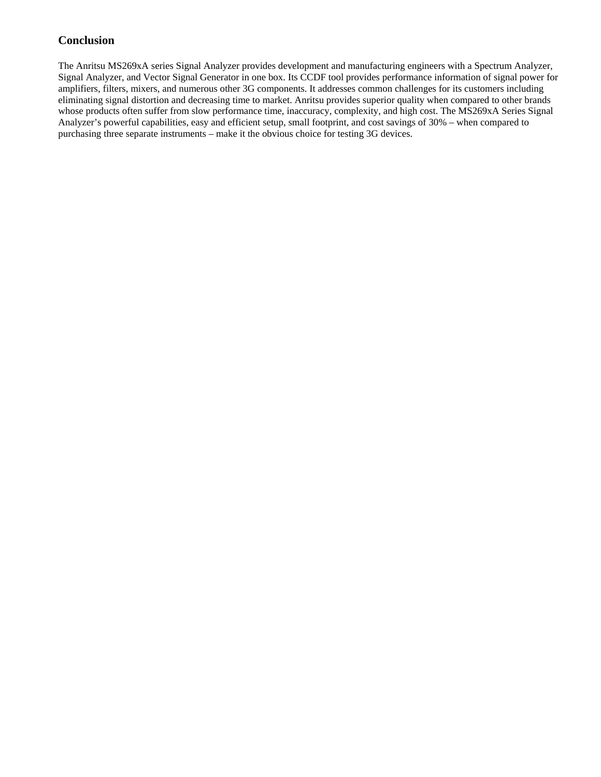## **Conclusion**

The Anritsu MS269xA series Signal Analyzer provides development and manufacturing engineers with a Spectrum Analyzer, Signal Analyzer, and Vector Signal Generator in one box. Its CCDF tool provides performance information of signal power for amplifiers, filters, mixers, and numerous other 3G components. It addresses common challenges for its customers including eliminating signal distortion and decreasing time to market. Anritsu provides superior quality when compared to other brands whose products often suffer from slow performance time, inaccuracy, complexity, and high cost. The MS269xA Series Signal Analyzer's powerful capabilities, easy and efficient setup, small footprint, and cost savings of 30% – when compared to purchasing three separate instruments – make it the obvious choice for testing 3G devices.